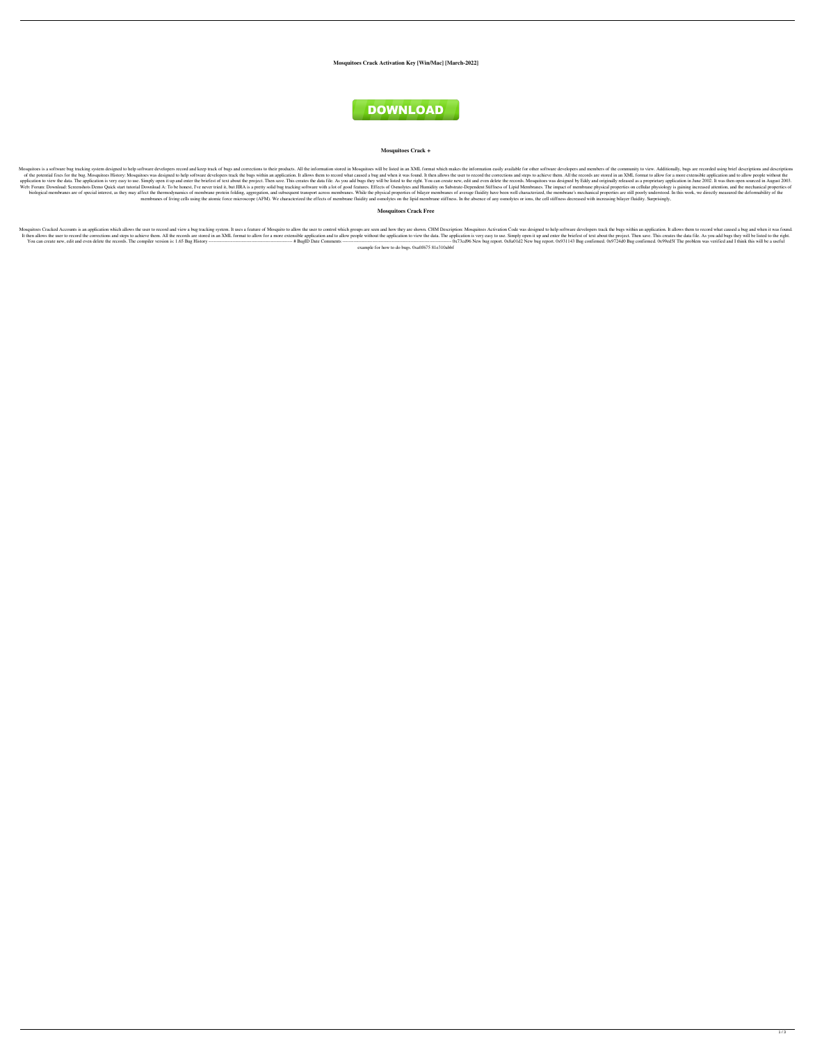**Mosquitoes Crack Activation Key [Win/Mac] [March-2022]**



## **Mosquitoes Crack +**

Mosquitoes is a software bug tracking system designed to help software developers record and keep track of bugs and corrections to their products. All the information stored in Mosquitoes will be listed in an XML format wh of the potential fixes for the bug. Mosquitoes History: Mosquitoes was designed to help software developers track the bugs within an application. It allows them to record what caused a bug and when it was found. It then al application to view the data. The application is very easy to use. Simply open it up and enter the briefest of text about the project. Then save. This creates the data file. As you add bugs they will be listed to the right Web: Forum: Download: Screenshots Demo Quick start tutorial Download A: To be honest, I've never tried it, but JIRA is a pretty solid bug tracking software with a lot of good features. Effects of Osmolytes and Humidity on biological membranes are of special interest, as they may affect the thermodynamics of membrane protein folding, aggregation, and subsequent transport across membranes. While the physical properties of bilayer membrane's m membranes of living cells using the atomic force microscope (AFM). We characterized the effects of membrane fluidity and osmolytes on the lipid membrane stiffness. In the absence of any osmolytes or ions, the cell stiffnes

Mosquitoes Cracked Accounts is an application which allows the user to record and view a bug tracking system. It uses a feature of Mosquito to allow the user to control which groups are seen and how they are shown. CHM Des It then allows the user to record the corrections and steps to achieve them. All the records are stored in an XML format to allow for a more extensible application and to allow people without the application is very easy t You can create new, edit and even delete the records. The compiler version is: 1.65 Bug History ----------------------------------------------------- # BugID Date Comments --------------------------------------------------------------------- 0x73cd96 New bug report. 0x8a01d2 New bug report. 0x931143 Bug confirmed. 0x9724d0 Bug confirmed. 0x99ed5f The problem was verified and I think this will be a useful example for how to do bugs. 0xa0f675 81e310abbf

**Mosquitoes Crack Free**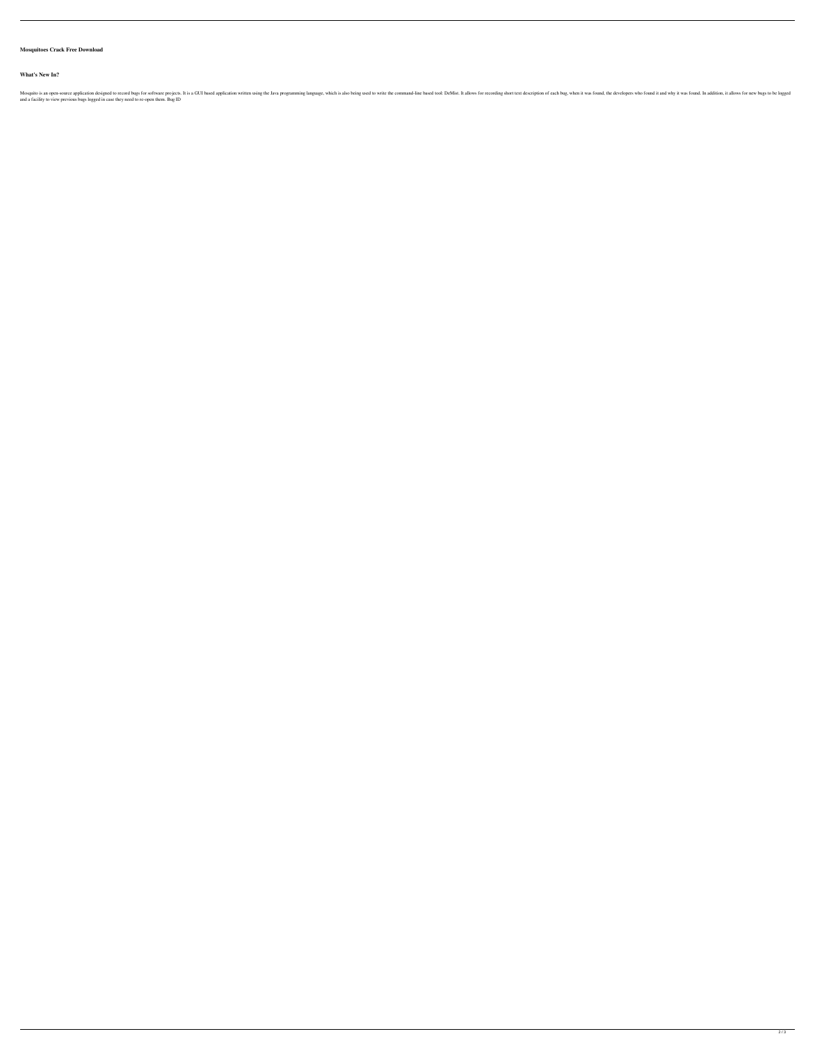## **Mosquitoes Crack Free Download**

## **What's New In?**

Mosquito is an open-source application designed to record bugs for software projects. It is a GUI based application written using the Java programming language, which is also being used to ol: DeMist. It allows for recordi and a facility to view previous bugs logged in case they need to re-open them. Bug ID